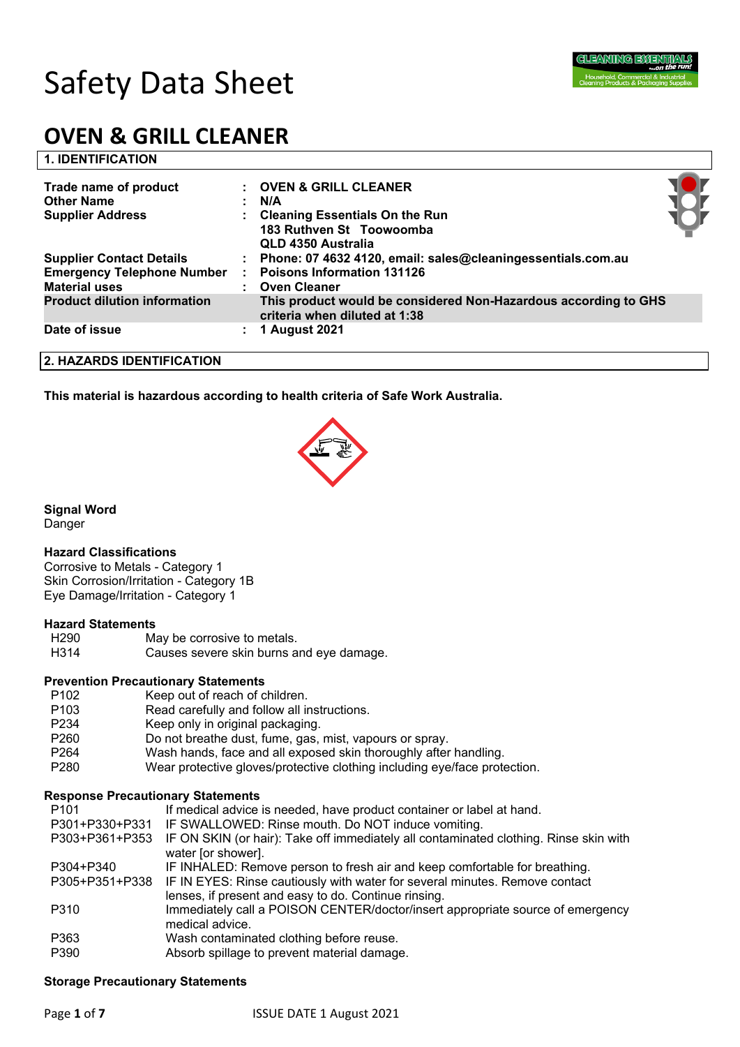# Safety Data Sheet

# **OVEN & GRILL CLEANER**

| <b>1. IDENTIFICATION</b>            |                |                                                                                                  |
|-------------------------------------|----------------|--------------------------------------------------------------------------------------------------|
| Trade name of product               |                | <b>OVEN &amp; GRILL CLEANER</b>                                                                  |
| <b>Other Name</b>                   |                | N/A                                                                                              |
| <b>Supplier Address</b>             |                | <b>Cleaning Essentials On the Run</b>                                                            |
|                                     |                | 183 Ruthven St Toowoomba                                                                         |
|                                     |                | QLD 4350 Australia                                                                               |
| <b>Supplier Contact Details</b>     |                | Phone: 07 4632 4120, email: sales@cleaningessentials.com.au                                      |
| <b>Emergency Telephone Number</b>   | ÷              | <b>Poisons Information 131126</b>                                                                |
| <b>Material uses</b>                | $\blacksquare$ | <b>Oven Cleaner</b>                                                                              |
| <b>Product dilution information</b> |                | This product would be considered Non-Hazardous according to GHS<br>criteria when diluted at 1:38 |
| Date of issue                       | ÷.             | <b>1 August 2021</b>                                                                             |
| 2. HAZARDS IDENTIFICATION           |                |                                                                                                  |
|                                     |                |                                                                                                  |

**This material is hazardous according to health criteria of Safe Work Australia.**



**Signal Word**

Danger

#### **Hazard Classifications**

Corrosive to Metals - Category 1 Skin Corrosion/Irritation - Category 1B Eye Damage/Irritation - Category 1

#### **Hazard Statements**

- H290 May be corrosive to metals.
- H314 Causes severe skin burns and eye damage.

#### **Prevention Precautionary Statements**

P102 Keep out of reach of children. P103 Read carefully and follow all instructions. P234 Keep only in original packaging. P260 Do not breathe dust, fume, gas, mist, vapours or spray. P264 Wash hands, face and all exposed skin thoroughly after handling. P280 Wear protective gloves/protective clothing including eye/face protection.

#### **Response Precautionary Statements**

| P <sub>101</sub> | If medical advice is needed, have product container or label at hand.                                       |
|------------------|-------------------------------------------------------------------------------------------------------------|
| P301+P330+P331   | IF SWALLOWED: Rinse mouth. Do NOT induce vomiting.                                                          |
| P303+P361+P353   | IF ON SKIN (or hair): Take off immediately all contaminated clothing. Rinse skin with<br>water [or shower]. |
| P304+P340        | IF INHALED: Remove person to fresh air and keep comfortable for breathing.                                  |
| P305+P351+P338   | IF IN EYES: Rinse cautiously with water for several minutes. Remove contact                                 |
|                  | lenses, if present and easy to do. Continue rinsing.                                                        |
| P310             | Immediately call a POISON CENTER/doctor/insert appropriate source of emergency                              |
|                  | medical advice.                                                                                             |
| P363             | Wash contaminated clothing before reuse.                                                                    |
| P390             | Absorb spillage to prevent material damage.                                                                 |

#### **Storage Precautionary Statements**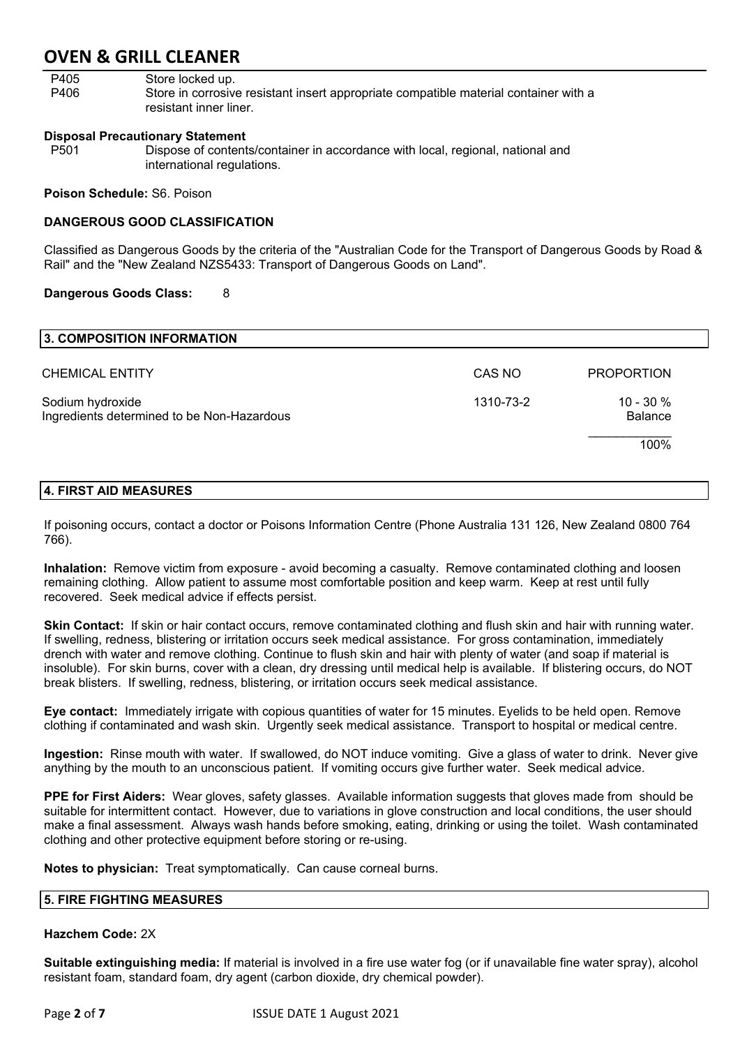| P405 | Store locked up.                                                                     |
|------|--------------------------------------------------------------------------------------|
| P406 | Store in corrosive resistant insert appropriate compatible material container with a |
|      | resistant inner liner.                                                               |

#### **Disposal Precautionary Statement**

P501 Dispose of contents/container in accordance with local, regional, national and international regulations.

#### **Poison Schedule:** S6. Poison

#### **DANGEROUS GOOD CLASSIFICATION**

Classified as Dangerous Goods by the criteria of the "Australian Code for the Transport of Dangerous Goods by Road & Rail" and the "New Zealand NZS5433: Transport of Dangerous Goods on Land".

#### **Dangerous Goods Class:** 8

| 3. COMPOSITION INFORMATION                                     |           |                                |
|----------------------------------------------------------------|-----------|--------------------------------|
| <b>CHEMICAL ENTITY</b>                                         | CAS NO    | <b>PROPORTION</b>              |
| Sodium hydroxide<br>Ingredients determined to be Non-Hazardous | 1310-73-2 | $10 - 30 \%$<br><b>Balance</b> |
|                                                                |           | 100%                           |

#### **4. FIRST AID MEASURES**

If poisoning occurs, contact a doctor or Poisons Information Centre (Phone Australia 131 126, New Zealand 0800 764 766).

**Inhalation:** Remove victim from exposure - avoid becoming a casualty. Remove contaminated clothing and loosen remaining clothing. Allow patient to assume most comfortable position and keep warm. Keep at rest until fully recovered. Seek medical advice if effects persist.

**Skin Contact:** If skin or hair contact occurs, remove contaminated clothing and flush skin and hair with running water. If swelling, redness, blistering or irritation occurs seek medical assistance. For gross contamination, immediately drench with water and remove clothing. Continue to flush skin and hair with plenty of water (and soap if material is insoluble). For skin burns, cover with a clean, dry dressing until medical help is available. If blistering occurs, do NOT break blisters. If swelling, redness, blistering, or irritation occurs seek medical assistance.

**Eye contact:** Immediately irrigate with copious quantities of water for 15 minutes. Eyelids to be held open. Remove clothing if contaminated and wash skin. Urgently seek medical assistance. Transport to hospital or medical centre.

**Ingestion:** Rinse mouth with water. If swallowed, do NOT induce vomiting. Give a glass of water to drink. Never give anything by the mouth to an unconscious patient. If vomiting occurs give further water. Seek medical advice.

**PPE for First Aiders:** Wear gloves, safety glasses. Available information suggests that gloves made from should be suitable for intermittent contact. However, due to variations in glove construction and local conditions, the user should make a final assessment. Always wash hands before smoking, eating, drinking or using the toilet. Wash contaminated clothing and other protective equipment before storing or re-using.

**Notes to physician:** Treat symptomatically. Can cause corneal burns.

#### **5. FIRE FIGHTING MEASURES**

#### **Hazchem Code:** 2X

**Suitable extinguishing media:** If material is involved in a fire use water fog (or if unavailable fine water spray), alcohol resistant foam, standard foam, dry agent (carbon dioxide, dry chemical powder).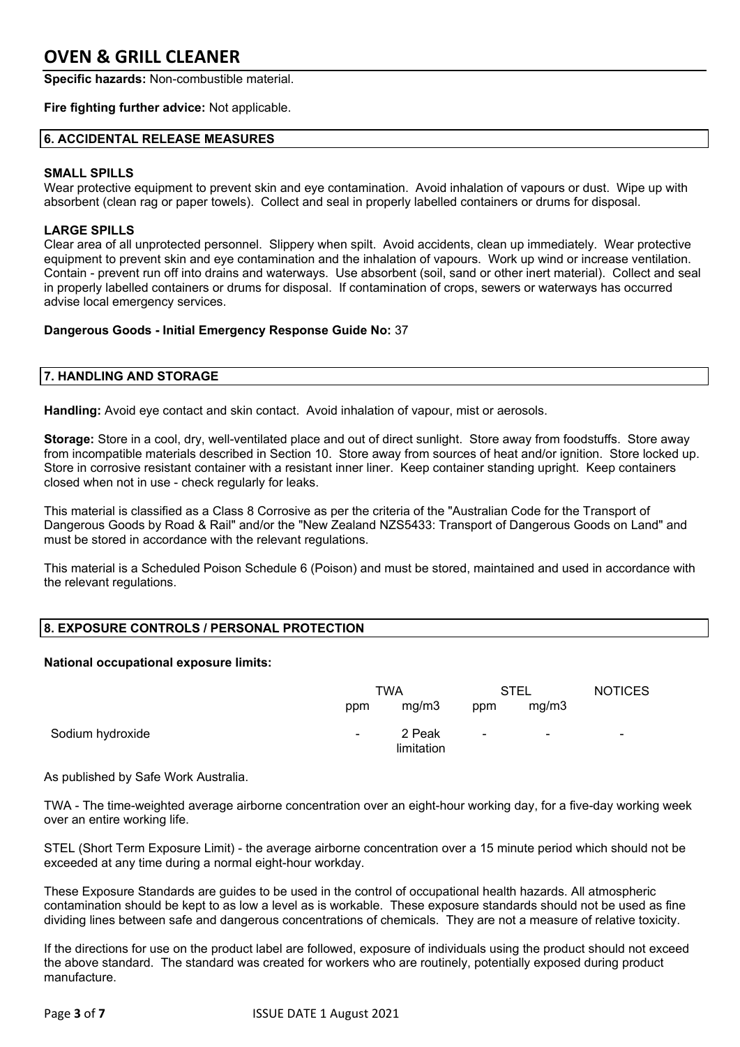**Specific hazards:** Non-combustible material.

#### **Fire fighting further advice:** Not applicable.

#### **6. ACCIDENTAL RELEASE MEASURES**

#### **SMALL SPILLS**

Wear protective equipment to prevent skin and eye contamination. Avoid inhalation of vapours or dust. Wipe up with absorbent (clean rag or paper towels). Collect and seal in properly labelled containers or drums for disposal.

#### **LARGE SPILLS**

Clear area of all unprotected personnel. Slippery when spilt. Avoid accidents, clean up immediately. Wear protective equipment to prevent skin and eye contamination and the inhalation of vapours. Work up wind or increase ventilation. Contain - prevent run off into drains and waterways. Use absorbent (soil, sand or other inert material). Collect and seal in properly labelled containers or drums for disposal. If contamination of crops, sewers or waterways has occurred advise local emergency services.

#### **Dangerous Goods - Initial Emergency Response Guide No:** 37

#### **7. HANDLING AND STORAGE**

**Handling:** Avoid eye contact and skin contact. Avoid inhalation of vapour, mist or aerosols.

**Storage:** Store in a cool, dry, well-ventilated place and out of direct sunlight. Store away from foodstuffs. Store away from incompatible materials described in Section 10. Store away from sources of heat and/or ignition. Store locked up. Store in corrosive resistant container with a resistant inner liner. Keep container standing upright. Keep containers closed when not in use - check regularly for leaks.

This material is classified as a Class 8 Corrosive as per the criteria of the "Australian Code for the Transport of Dangerous Goods by Road & Rail" and/or the "New Zealand NZS5433: Transport of Dangerous Goods on Land" and must be stored in accordance with the relevant regulations.

This material is a Scheduled Poison Schedule 6 (Poison) and must be stored, maintained and used in accordance with the relevant regulations.

#### **8. EXPOSURE CONTROLS / PERSONAL PROTECTION**

#### **National occupational exposure limits:**

|                  | TWA            |                      | <b>STEL</b> |                          | <b>NOTICES</b> |
|------------------|----------------|----------------------|-------------|--------------------------|----------------|
|                  | ppm            | mg/m3                | ppm         | mg/m3                    |                |
| Sodium hydroxide | $\blacksquare$ | 2 Peak<br>limitation | $\sim$ $-$  | $\overline{\phantom{a}}$ | $\sim$         |

As published by Safe Work Australia.

TWA - The time-weighted average airborne concentration over an eight-hour working day, for a five-day working week over an entire working life.

STEL (Short Term Exposure Limit) - the average airborne concentration over a 15 minute period which should not be exceeded at any time during a normal eight-hour workday.

These Exposure Standards are guides to be used in the control of occupational health hazards. All atmospheric contamination should be kept to as low a level as is workable. These exposure standards should not be used as fine dividing lines between safe and dangerous concentrations of chemicals. They are not a measure of relative toxicity.

If the directions for use on the product label are followed, exposure of individuals using the product should not exceed the above standard. The standard was created for workers who are routinely, potentially exposed during product manufacture.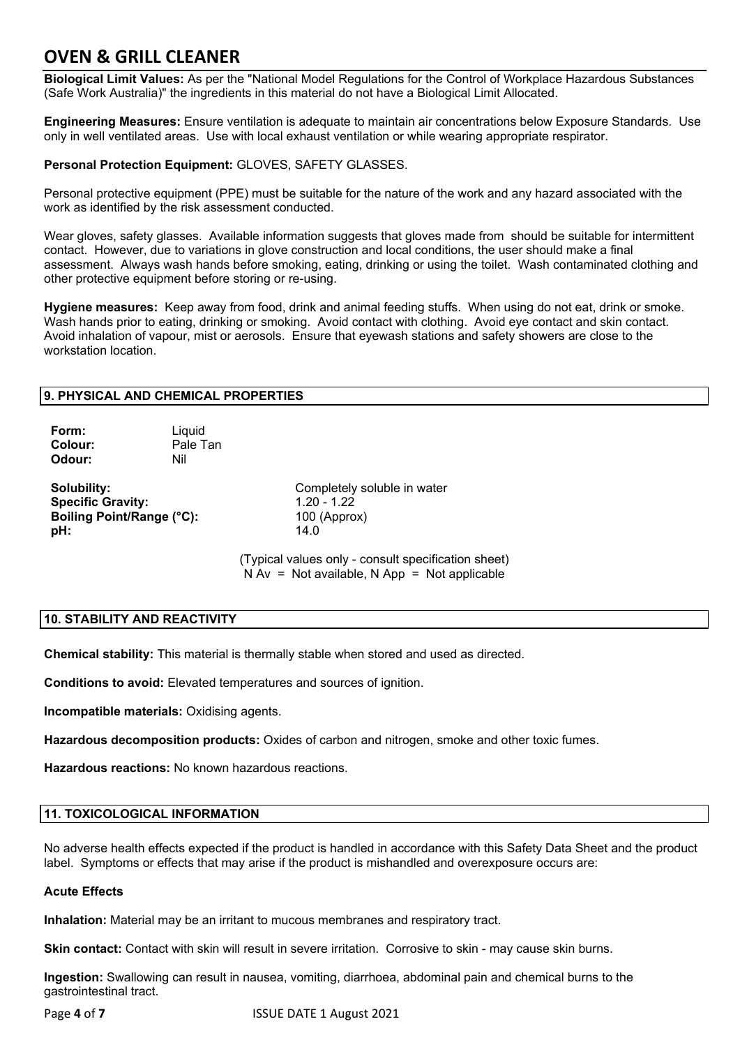**Biological Limit Values:** As per the "National Model Regulations for the Control of Workplace Hazardous Substances (Safe Work Australia)" the ingredients in this material do not have a Biological Limit Allocated.

**Engineering Measures:** Ensure ventilation is adequate to maintain air concentrations below Exposure Standards. Use only in well ventilated areas. Use with local exhaust ventilation or while wearing appropriate respirator.

#### **Personal Protection Equipment:** GLOVES, SAFETY GLASSES.

Personal protective equipment (PPE) must be suitable for the nature of the work and any hazard associated with the work as identified by the risk assessment conducted.

Wear gloves, safety glasses. Available information suggests that gloves made from should be suitable for intermittent contact. However, due to variations in glove construction and local conditions, the user should make a final assessment. Always wash hands before smoking, eating, drinking or using the toilet. Wash contaminated clothing and other protective equipment before storing or re-using.

**Hygiene measures:** Keep away from food, drink and animal feeding stuffs. When using do not eat, drink or smoke. Wash hands prior to eating, drinking or smoking. Avoid contact with clothing. Avoid eye contact and skin contact. Avoid inhalation of vapour, mist or aerosols. Ensure that eyewash stations and safety showers are close to the workstation location.

#### **9. PHYSICAL AND CHEMICAL PROPERTIES**

| Form:   | Liquid   |
|---------|----------|
| Colour: | Pale Tan |
| Odour:  | Nil      |

**Specific Gravity:** 1.20 - 1.22 **Boiling Point/Range (°C):** 100 (Approx) **pH:** 14.0

**Solubility:** Completely soluble in water

(Typical values only - consult specification sheet)  $N Av = Not available, N App = Not applicable$ 

### **10. STABILITY AND REACTIVITY**

**Chemical stability:** This material is thermally stable when stored and used as directed.

**Conditions to avoid:** Elevated temperatures and sources of ignition.

**Incompatible materials:** Oxidising agents.

**Hazardous decomposition products:** Oxides of carbon and nitrogen, smoke and other toxic fumes.

**Hazardous reactions:** No known hazardous reactions.

#### **11. TOXICOLOGICAL INFORMATION**

No adverse health effects expected if the product is handled in accordance with this Safety Data Sheet and the product label. Symptoms or effects that may arise if the product is mishandled and overexposure occurs are:

#### **Acute Effects**

**Inhalation:** Material may be an irritant to mucous membranes and respiratory tract.

**Skin contact:** Contact with skin will result in severe irritation. Corrosive to skin - may cause skin burns.

**Ingestion:** Swallowing can result in nausea, vomiting, diarrhoea, abdominal pain and chemical burns to the gastrointestinal tract.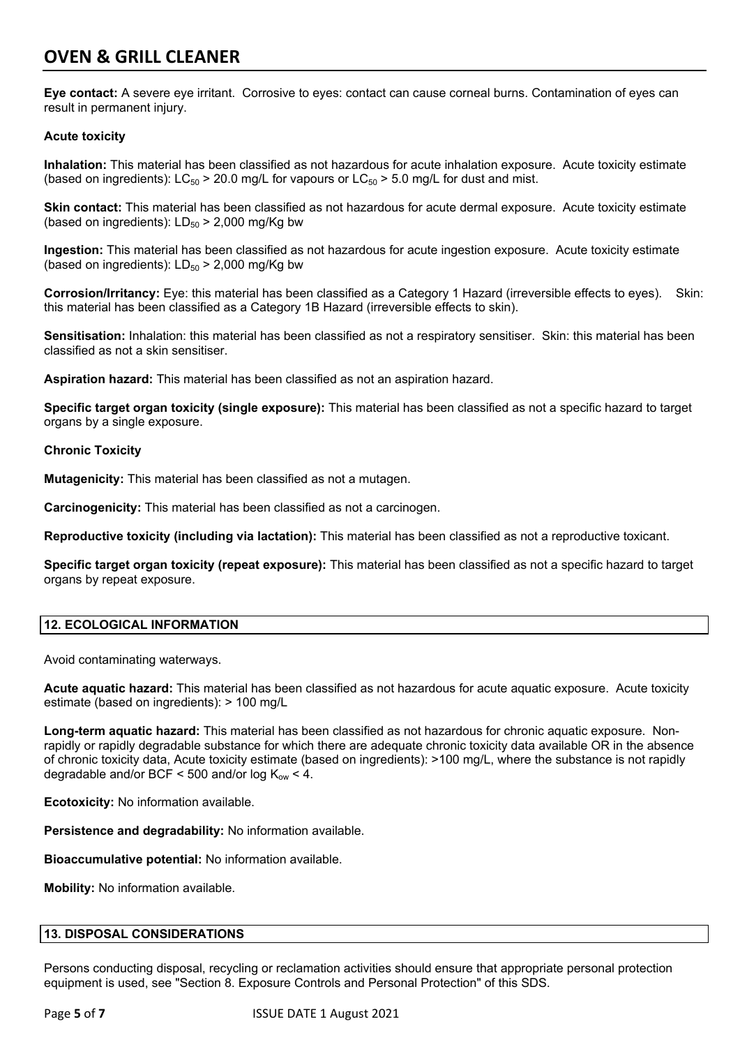**Eye contact:** A severe eye irritant. Corrosive to eyes: contact can cause corneal burns. Contamination of eyes can result in permanent injury.

### **Acute toxicity**

**Inhalation:** This material has been classified as not hazardous for acute inhalation exposure. Acute toxicity estimate (based on ingredients):  $LC_{50}$  > 20.0 mg/L for vapours or  $LC_{50}$  > 5.0 mg/L for dust and mist.

**Skin contact:** This material has been classified as not hazardous for acute dermal exposure. Acute toxicity estimate (based on ingredients):  $LD_{50}$  > 2,000 mg/Kg bw

**Ingestion:** This material has been classified as not hazardous for acute ingestion exposure. Acute toxicity estimate (based on ingredients):  $LD_{50}$  > 2,000 mg/Kg bw

**Corrosion/Irritancy:** Eye: this material has been classified as a Category 1 Hazard (irreversible effects to eyes). Skin: this material has been classified as a Category 1B Hazard (irreversible effects to skin).

**Sensitisation:** Inhalation: this material has been classified as not a respiratory sensitiser. Skin: this material has been classified as not a skin sensitiser.

**Aspiration hazard:** This material has been classified as not an aspiration hazard.

**Specific target organ toxicity (single exposure):** This material has been classified as not a specific hazard to target organs by a single exposure.

#### **Chronic Toxicity**

**Mutagenicity:** This material has been classified as not a mutagen.

**Carcinogenicity:** This material has been classified as not a carcinogen.

**Reproductive toxicity (including via lactation):** This material has been classified as not a reproductive toxicant.

**Specific target organ toxicity (repeat exposure):** This material has been classified as not a specific hazard to target organs by repeat exposure.

#### **12. ECOLOGICAL INFORMATION**

Avoid contaminating waterways.

**Acute aquatic hazard:** This material has been classified as not hazardous for acute aquatic exposure. Acute toxicity estimate (based on ingredients): > 100 mg/L

**Long-term aquatic hazard:** This material has been classified as not hazardous for chronic aquatic exposure. Nonrapidly or rapidly degradable substance for which there are adequate chronic toxicity data available OR in the absence of chronic toxicity data, Acute toxicity estimate (based on ingredients): >100 mg/L, where the substance is not rapidly degradable and/or BCF < 500 and/or  $log K_{ow}$  < 4.

**Ecotoxicity:** No information available.

**Persistence and degradability:** No information available.

**Bioaccumulative potential:** No information available.

**Mobility:** No information available.

#### **13. DISPOSAL CONSIDERATIONS**

Persons conducting disposal, recycling or reclamation activities should ensure that appropriate personal protection equipment is used, see "Section 8. Exposure Controls and Personal Protection" of this SDS.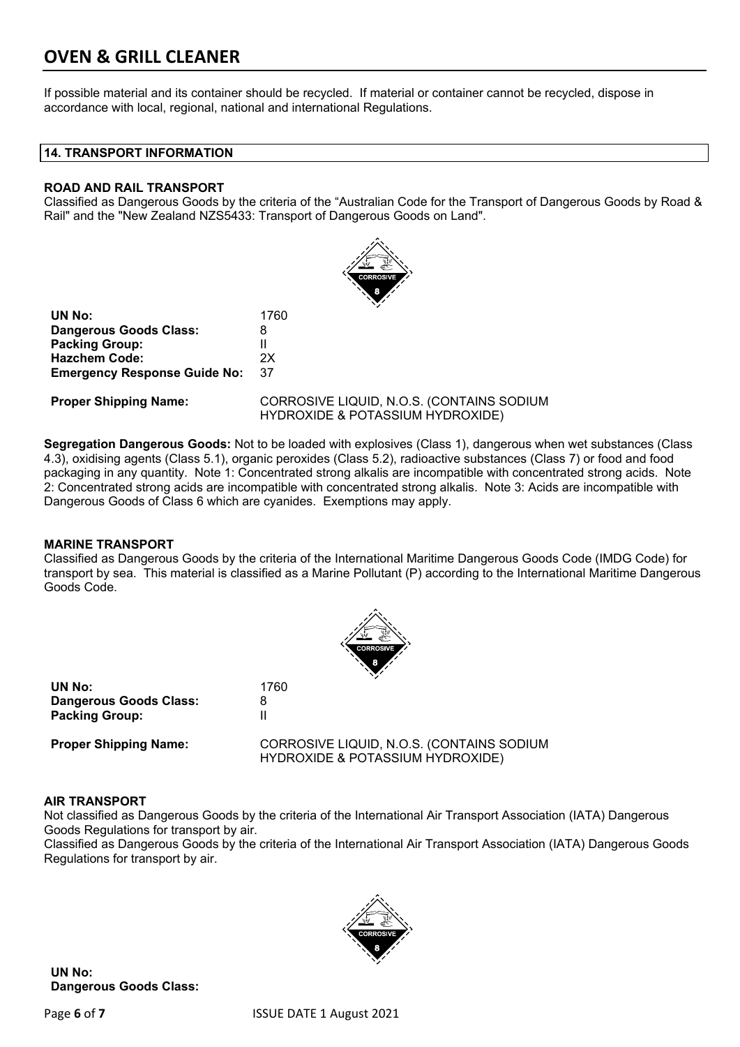If possible material and its container should be recycled. If material or container cannot be recycled, dispose in accordance with local, regional, national and international Regulations.

#### **14. TRANSPORT INFORMATION**

#### **ROAD AND RAIL TRANSPORT**

Classified as Dangerous Goods by the criteria of the "Australian Code for the Transport of Dangerous Goods by Road & Rail" and the "New Zealand NZS5433: Transport of Dangerous Goods on Land".



**UN No:** 1760 **Dangerous Goods Class:** 8 **Packing Group:** II **Hazchem Code:** 2X **Emergency Response Guide No:** 37

**Proper Shipping Name:** CORROSIVE LIQUID, N.O.S. (CONTAINS SODIUM HYDROXIDE & POTASSIUM HYDROXIDE)

**Segregation Dangerous Goods:** Not to be loaded with explosives (Class 1), dangerous when wet substances (Class 4.3), oxidising agents (Class 5.1), organic peroxides (Class 5.2), radioactive substances (Class 7) or food and food packaging in any quantity. Note 1: Concentrated strong alkalis are incompatible with concentrated strong acids. Note 2: Concentrated strong acids are incompatible with concentrated strong alkalis. Note 3: Acids are incompatible with Dangerous Goods of Class 6 which are cyanides. Exemptions may apply.

#### **MARINE TRANSPORT**

Classified as Dangerous Goods by the criteria of the International Maritime Dangerous Goods Code (IMDG Code) for transport by sea. This material is classified as a Marine Pollutant (P) according to the International Maritime Dangerous Goods Code.



| UN No:                        | 1760 |
|-------------------------------|------|
| <b>Dangerous Goods Class:</b> | 8    |
| <b>Packing Group:</b>         | Ш    |
|                               |      |

**Proper Shipping Name:** CORROSIVE LIQUID, N.O.S. (CONTAINS SODIUM HYDROXIDE & POTASSIUM HYDROXIDE)

#### **AIR TRANSPORT**

Not classified as Dangerous Goods by the criteria of the International Air Transport Association (IATA) Dangerous Goods Regulations for transport by air.

Classified as Dangerous Goods by the criteria of the International Air Transport Association (IATA) Dangerous Goods Regulations for transport by air.